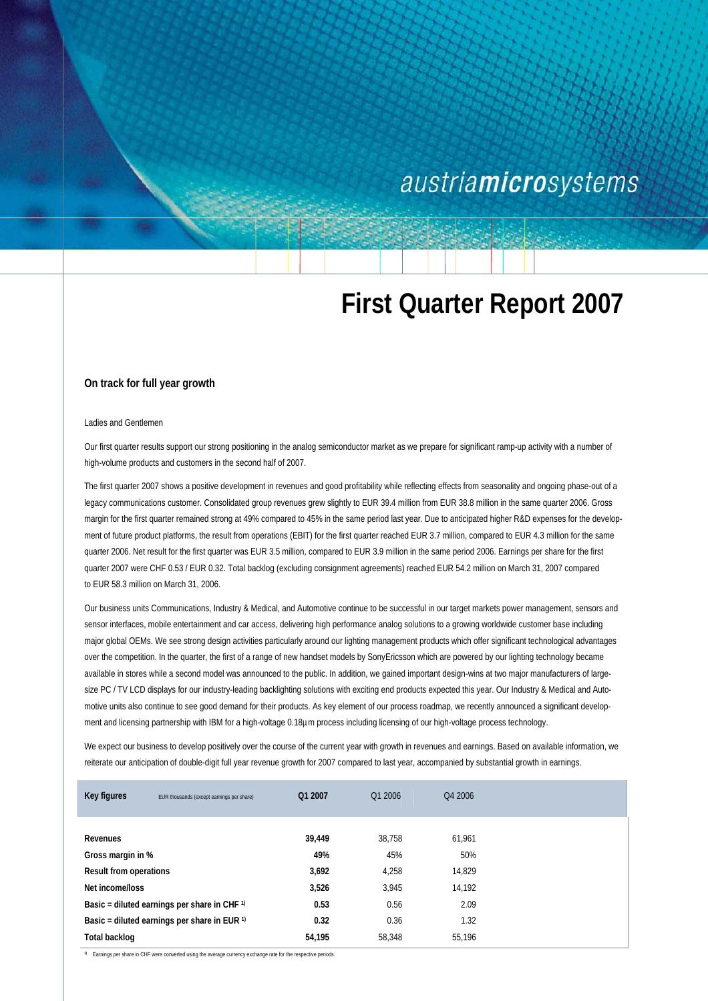## austriamicrosystems

# **First Quarter Report 2007**

### **On track for full year growth**

#### Ladies and Gentlemen

Our first quarter results support our strong positioning in the analog semiconductor market as we prepare for significant ramp-up activity with a number of high-volume products and customers in the second half of 2007.

The first quarter 2007 shows a positive development in revenues and good profitability while reflecting effects from seasonality and ongoing phase-out of a legacy communications customer. Consolidated group revenues grew slightly to EUR 39.4 million from EUR 38.8 million in the same quarter 2006. Gross margin for the first quarter remained strong at 49% compared to 45% in the same period last year. Due to anticipated higher R&D expenses for the development of future product platforms, the result from operations (EBIT) for the first quarter reached EUR 3.7 million, compared to EUR 4.3 million for the same quarter 2006. Net result for the first quarter was EUR 3.5 million, compared to EUR 3.9 million in the same period 2006. Earnings per share for the first quarter 2007 were CHF 0.53 / EUR 0.32. Total backlog (excluding consignment agreements) reached EUR 54.2 million on March 31, 2007 compared to EUR 58.3 million on March 31, 2006.

Our business units Communications, Industry & Medical, and Automotive continue to be successful in our target markets power management, sensors and sensor interfaces, mobile entertainment and car access, delivering high performance analog solutions to a growing worldwide customer base including major global OEMs. We see strong design activities particularly around our lighting management products which offer significant technological advantages over the competition. In the quarter, the first of a range of new handset models by SonyEricsson which are powered by our lighting technology became available in stores while a second model was announced to the public. In addition, we gained important design-wins at two major manufacturers of largesize PC / TV LCD displays for our industry-leading backlighting solutions with exciting end products expected this year. Our Industry & Medical and Automotive units also continue to see good demand for their products. As key element of our process roadmap, we recently announced a significant development and licensing partnership with IBM for a high-voltage 0.18µm process including licensing of our high-voltage process technology.

We expect our business to develop positively over the course of the current year with growth in revenues and earnings. Based on available information, we reiterate our anticipation of double-digit full year revenue growth for 2007 compared to last year, accompanied by substantial growth in earnings.

| Key figures                                        | EUR thousands (except earnings per share) | Q1 2007 | Q1 2006 | Q4 2006 |  |
|----------------------------------------------------|-------------------------------------------|---------|---------|---------|--|
|                                                    |                                           |         |         |         |  |
| Revenues                                           |                                           | 39,449  | 38.758  | 61.961  |  |
| Gross margin in %                                  |                                           | 49%     | 45%     | 50%     |  |
| <b>Result from operations</b>                      |                                           | 3,692   | 4,258   | 14.829  |  |
| Net income/loss                                    |                                           | 3,526   | 3.945   | 14,192  |  |
| Basic = diluted earnings per share in CHF 1)       |                                           | 0.53    | 0.56    | 2.09    |  |
| Basic = diluted earnings per share in EUR $\theta$ |                                           | 0.32    | 0.36    | 1.32    |  |
| Total backlog                                      |                                           | 54,195  | 58.348  | 55.196  |  |

**1)** Earnings per share in CHF were converted using the average currency exchange rate for the respective periods.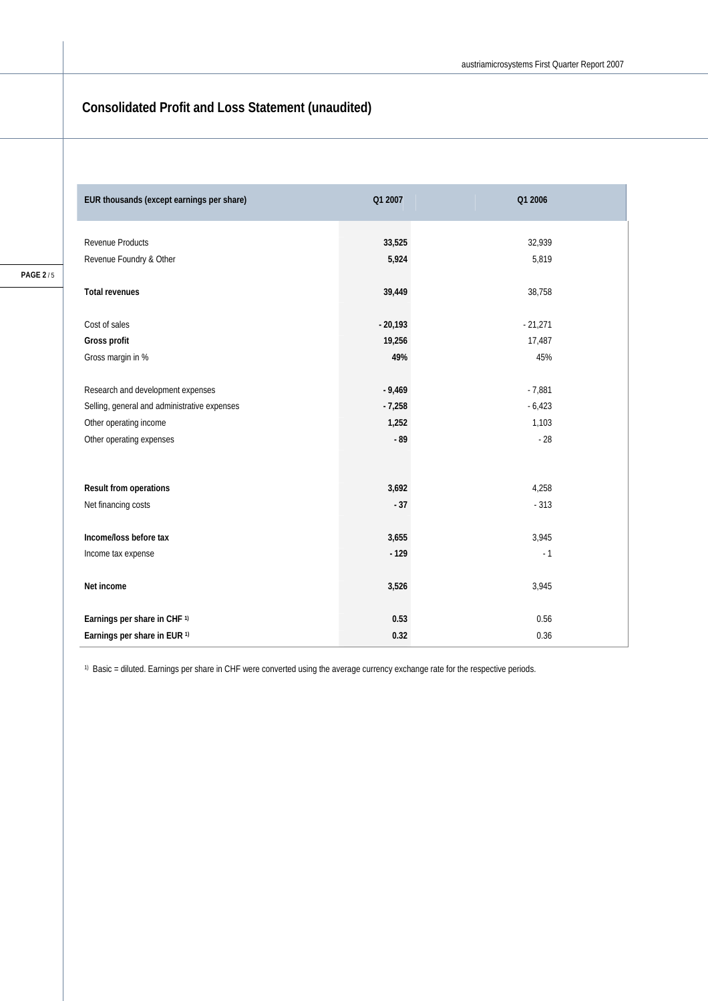## **Consolidated Profit and Loss Statement (unaudited)**

| EUR thousands (except earnings per share)    | Q1 2007   | Q1 2006   |
|----------------------------------------------|-----------|-----------|
| Revenue Products                             | 33,525    | 32,939    |
| Revenue Foundry & Other                      | 5,924     | 5,819     |
|                                              |           |           |
| <b>Total revenues</b>                        | 39,449    | 38,758    |
|                                              |           |           |
| Cost of sales                                | $-20,193$ | $-21,271$ |
| Gross profit                                 | 19,256    | 17,487    |
| Gross margin in %                            | 49%       | 45%       |
|                                              |           |           |
| Research and development expenses            | $-9,469$  | $-7,881$  |
| Selling, general and administrative expenses | $-7,258$  | $-6,423$  |
| Other operating income                       | 1,252     | 1,103     |
| Other operating expenses                     | $-89$     | $-28$     |
|                                              |           |           |
|                                              |           |           |
| Result from operations                       | 3,692     | 4,258     |
| Net financing costs                          | $-37$     | $-313$    |
|                                              |           |           |
| Income/loss before tax                       | 3,655     | 3,945     |
| Income tax expense                           | $-129$    | $-1$      |
|                                              |           |           |
| Net income                                   | 3,526     | 3,945     |
|                                              |           |           |
| Earnings per share in CHF <sup>1)</sup>      | 0.53      | 0.56      |
| Earnings per share in EUR <sup>1)</sup>      | 0.32      | 0.36      |

1) Basic = diluted. Earnings per share in CHF were converted using the average currency exchange rate for the respective periods.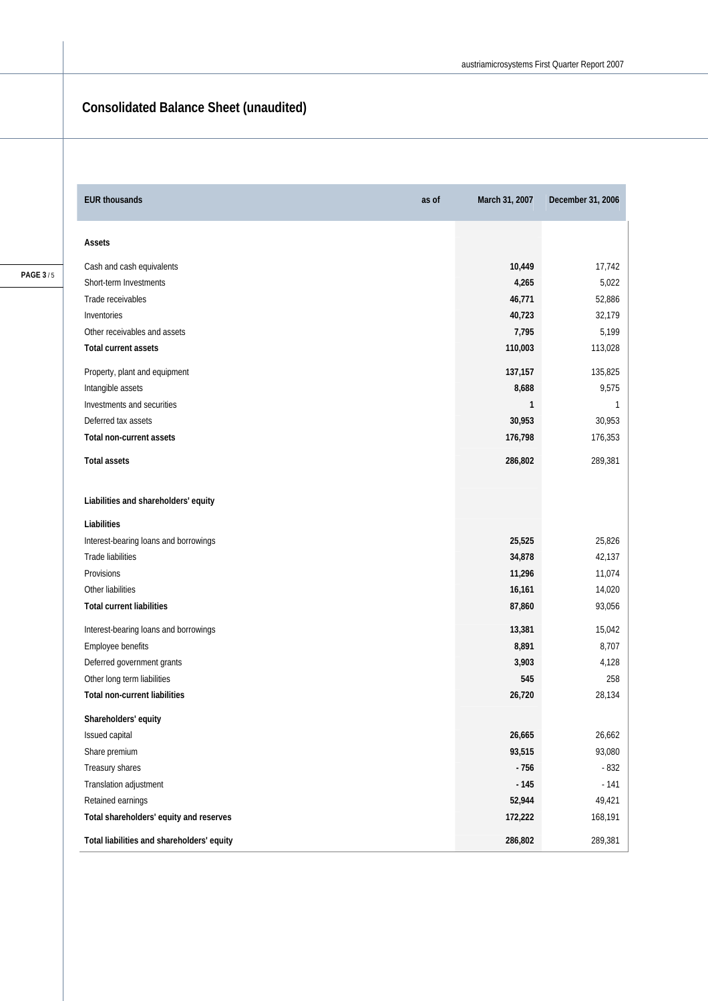## **Consolidated Balance Sheet (unaudited)**

| <b>EUR thousands</b>                       | as of | March 31, 2007 | December 31, 2006 |
|--------------------------------------------|-------|----------------|-------------------|
| Assets                                     |       |                |                   |
| Cash and cash equivalents                  |       | 10,449         | 17,742            |
| Short-term Investments                     |       | 4,265          | 5,022             |
| Trade receivables                          |       | 46,771         | 52,886            |
| Inventories                                |       | 40,723         | 32,179            |
| Other receivables and assets               |       | 7,795          | 5,199             |
| Total current assets                       |       | 110,003        | 113,028           |
| Property, plant and equipment              |       | 137,157        | 135,825           |
| Intangible assets                          |       | 8,688          | 9,575             |
| Investments and securities                 |       | 1              | 1                 |
| Deferred tax assets                        |       | 30,953         | 30,953            |
| Total non-current assets                   |       | 176,798        | 176,353           |
| <b>Total assets</b>                        |       | 286,802        | 289,381           |
| Liabilities and shareholders' equity       |       |                |                   |
| Liabilities                                |       |                |                   |
| Interest-bearing loans and borrowings      |       | 25,525         | 25,826            |
| Trade liabilities                          |       | 34,878         | 42,137            |
| Provisions                                 |       | 11,296         | 11,074            |
| Other liabilities                          |       | 16,161         | 14,020            |
| <b>Total current liabilities</b>           |       | 87,860         | 93,056            |
| Interest-bearing loans and borrowings      |       | 13,381         | 15,042            |
| Employee benefits                          |       | 8,891          | 8,707             |
| Deferred government grants                 |       | 3,903          | 4,128             |
| Other long term liabilities                |       | 545            | 258               |
| <b>Total non-current liabilities</b>       |       | 26,720         | 28,134            |
| Shareholders' equity                       |       |                |                   |
| Issued capital                             |       | 26,665         | 26,662            |
| Share premium                              |       | 93,515         | 93,080            |
| Treasury shares                            |       | $-756$         | $-832$            |
| Translation adjustment                     |       | $-145$         | $-141$            |
| Retained earnings                          |       | 52,944         | 49,421            |
| Total shareholders' equity and reserves    |       | 172,222        | 168,191           |
| Total liabilities and shareholders' equity |       | 286,802        | 289,381           |

**PAGE 3** / 5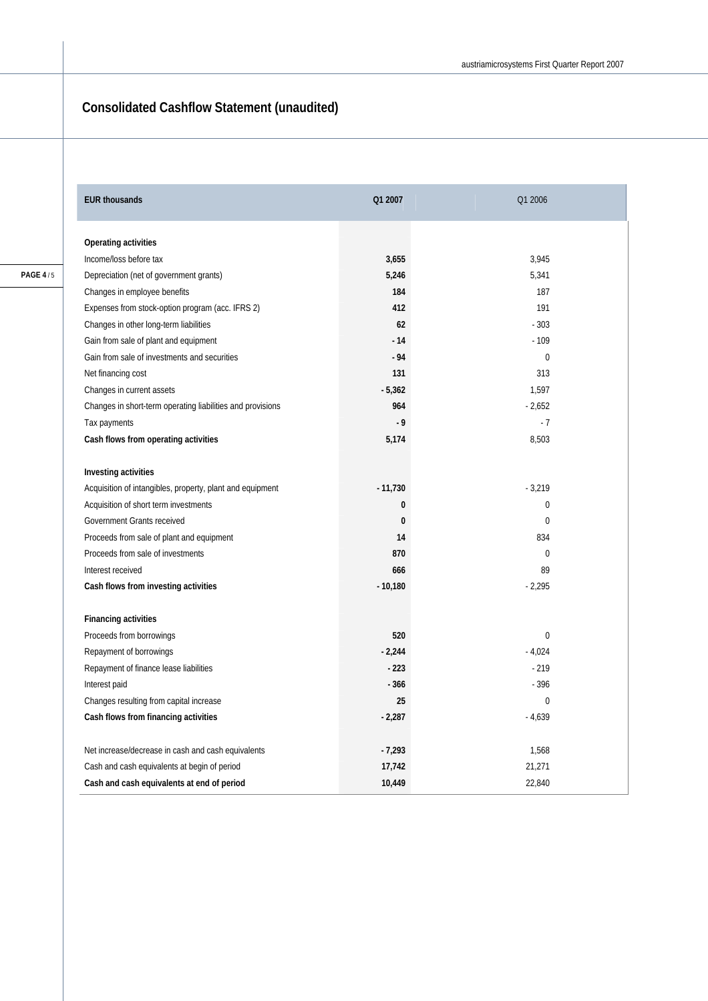## **Consolidated Cashflow Statement (unaudited)**

| <b>EUR thousands</b>                                       | Q1 2007   | Q1 2006        |
|------------------------------------------------------------|-----------|----------------|
| Operating activities                                       |           |                |
| Income/loss before tax                                     | 3,655     | 3,945          |
| Depreciation (net of government grants)                    | 5,246     | 5,341          |
| Changes in employee benefits                               | 184       | 187            |
| Expenses from stock-option program (acc. IFRS 2)           | 412       | 191            |
| Changes in other long-term liabilities                     | 62        | $-303$         |
| Gain from sale of plant and equipment                      | $-14$     | $-109$         |
| Gain from sale of investments and securities               | $-94$     | $\mathbf 0$    |
| Net financing cost                                         | 131       | 313            |
| Changes in current assets                                  | $-5,362$  | 1,597          |
| Changes in short-term operating liabilities and provisions | 964       | $-2,652$       |
| Tax payments                                               | $-9$      | $-7$           |
| Cash flows from operating activities                       | 5,174     | 8,503          |
| Investing activities                                       |           |                |
| Acquisition of intangibles, property, plant and equipment  | $-11,730$ | $-3,219$       |
| Acquisition of short term investments                      | $\bf{0}$  | $\overline{0}$ |
| Government Grants received                                 | $\bf{0}$  | $\theta$       |
| Proceeds from sale of plant and equipment                  | 14        | 834            |
| Proceeds from sale of investments                          | 870       | $\Omega$       |
| Interest received                                          | 666       | 89             |
| Cash flows from investing activities                       | $-10,180$ | $-2,295$       |
| <b>Financing activities</b>                                |           |                |
| Proceeds from borrowings                                   | 520       | $\theta$       |
| Repayment of borrowings                                    | $-2,244$  | $-4,024$       |
| Repayment of finance lease liabilities                     | $-223$    | $-219$         |
| Interest paid                                              | $-366$    | $-396$         |
| Changes resulting from capital increase                    | 25        | $\overline{0}$ |
| Cash flows from financing activities                       | $-2,287$  | $-4,639$       |
| Net increase/decrease in cash and cash equivalents         | $-7,293$  | 1,568          |
| Cash and cash equivalents at begin of period               | 17,742    | 21,271         |
| Cash and cash equivalents at end of period                 | 10,449    | 22,840         |